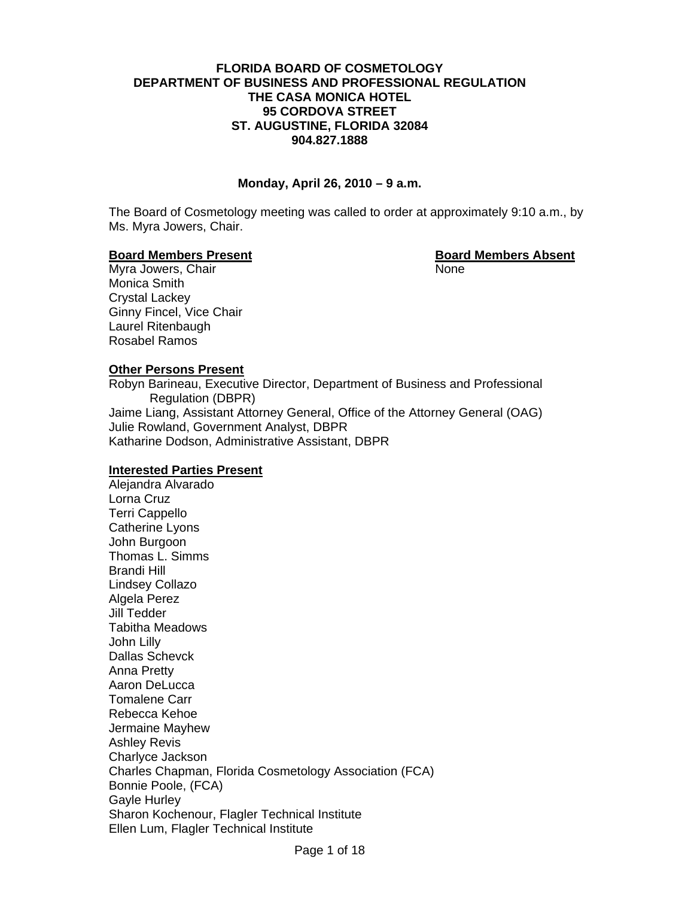## **FLORIDA BOARD OF COSMETOLOGY DEPARTMENT OF BUSINESS AND PROFESSIONAL REGULATION THE CASA MONICA HOTEL 95 CORDOVA STREET ST. AUGUSTINE, FLORIDA 32084 904.827.1888**

## **Monday, April 26, 2010 – 9 a.m.**

The Board of Cosmetology meeting was called to order at approximately 9:10 a.m., by Ms. Myra Jowers, Chair.

#### **Board Members Present Contract Contract Board Members Absent**

Myra Jowers, Chair None Monica Smith Crystal Lackey Ginny Fincel, Vice Chair Laurel Ritenbaugh Rosabel Ramos

## **Other Persons Present**

Robyn Barineau, Executive Director, Department of Business and Professional Regulation (DBPR) Jaime Liang, Assistant Attorney General, Office of the Attorney General (OAG) Julie Rowland, Government Analyst, DBPR Katharine Dodson, Administrative Assistant, DBPR

## **Interested Parties Present**

Alejandra Alvarado Lorna Cruz Terri Cappello Catherine Lyons John Burgoon Thomas L. Simms Brandi Hill Lindsey Collazo Algela Perez Jill Tedder Tabitha Meadows John Lilly Dallas Schevck Anna Pretty Aaron DeLucca Tomalene Carr Rebecca Kehoe Jermaine Mayhew Ashley Revis Charlyce Jackson Charles Chapman, Florida Cosmetology Association (FCA) Bonnie Poole, (FCA) Gayle Hurley Sharon Kochenour, Flagler Technical Institute Ellen Lum, Flagler Technical Institute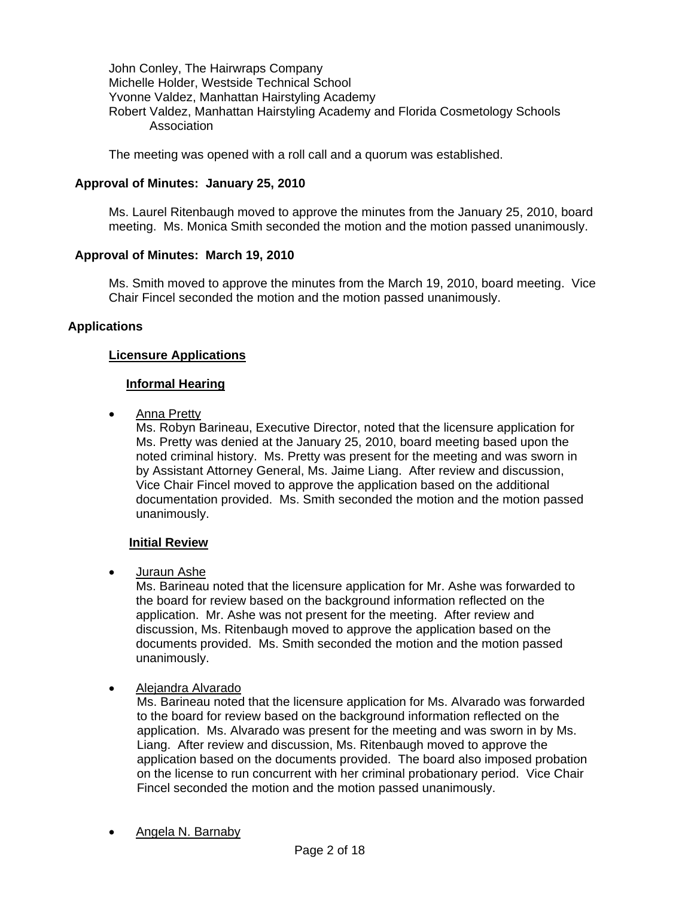John Conley, The Hairwraps Company Michelle Holder, Westside Technical School Yvonne Valdez, Manhattan Hairstyling Academy Robert Valdez, Manhattan Hairstyling Academy and Florida Cosmetology Schools Association

The meeting was opened with a roll call and a quorum was established.

# **Approval of Minutes: January 25, 2010**

Ms. Laurel Ritenbaugh moved to approve the minutes from the January 25, 2010, board meeting. Ms. Monica Smith seconded the motion and the motion passed unanimously.

## **Approval of Minutes: March 19, 2010**

Ms. Smith moved to approve the minutes from the March 19, 2010, board meeting. Vice Chair Fincel seconded the motion and the motion passed unanimously.

# **Applications**

# **Licensure Applications**

## **Informal Hearing**

• Anna Pretty

Ms. Robyn Barineau, Executive Director, noted that the licensure application for Ms. Pretty was denied at the January 25, 2010, board meeting based upon the noted criminal history. Ms. Pretty was present for the meeting and was sworn in by Assistant Attorney General, Ms. Jaime Liang. After review and discussion, Vice Chair Fincel moved to approve the application based on the additional documentation provided. Ms. Smith seconded the motion and the motion passed unanimously.

## **Initial Review**

• Juraun Ashe

Ms. Barineau noted that the licensure application for Mr. Ashe was forwarded to the board for review based on the background information reflected on the application. Mr. Ashe was not present for the meeting. After review and discussion, Ms. Ritenbaugh moved to approve the application based on the documents provided. Ms. Smith seconded the motion and the motion passed unanimously.

# • Alejandra Alvarado

Ms. Barineau noted that the licensure application for Ms. Alvarado was forwarded to the board for review based on the background information reflected on the application. Ms. Alvarado was present for the meeting and was sworn in by Ms. Liang. After review and discussion, Ms. Ritenbaugh moved to approve the application based on the documents provided. The board also imposed probation on the license to run concurrent with her criminal probationary period. Vice Chair Fincel seconded the motion and the motion passed unanimously.

• Angela N. Barnaby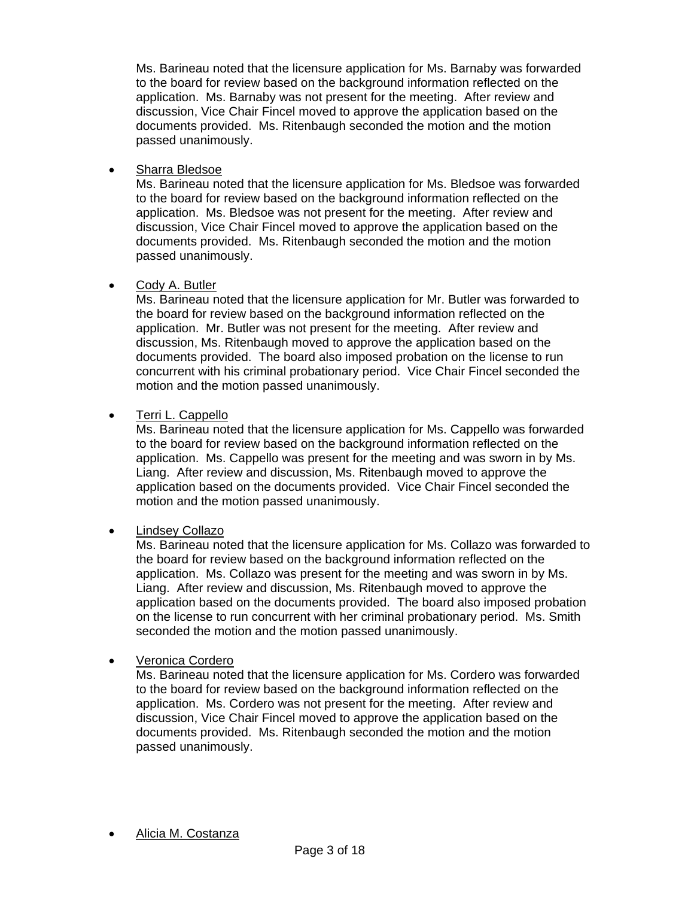Ms. Barineau noted that the licensure application for Ms. Barnaby was forwarded to the board for review based on the background information reflected on the application. Ms. Barnaby was not present for the meeting. After review and discussion, Vice Chair Fincel moved to approve the application based on the documents provided. Ms. Ritenbaugh seconded the motion and the motion passed unanimously.

• Sharra Bledsoe

Ms. Barineau noted that the licensure application for Ms. Bledsoe was forwarded to the board for review based on the background information reflected on the application. Ms. Bledsoe was not present for the meeting. After review and discussion, Vice Chair Fincel moved to approve the application based on the documents provided. Ms. Ritenbaugh seconded the motion and the motion passed unanimously.

# • Cody A. Butler

Ms. Barineau noted that the licensure application for Mr. Butler was forwarded to the board for review based on the background information reflected on the application. Mr. Butler was not present for the meeting. After review and discussion, Ms. Ritenbaugh moved to approve the application based on the documents provided. The board also imposed probation on the license to run concurrent with his criminal probationary period. Vice Chair Fincel seconded the motion and the motion passed unanimously.

# • Terri L. Cappello

Ms. Barineau noted that the licensure application for Ms. Cappello was forwarded to the board for review based on the background information reflected on the application. Ms. Cappello was present for the meeting and was sworn in by Ms. Liang. After review and discussion, Ms. Ritenbaugh moved to approve the application based on the documents provided. Vice Chair Fincel seconded the motion and the motion passed unanimously.

# • Lindsey Collazo

Ms. Barineau noted that the licensure application for Ms. Collazo was forwarded to the board for review based on the background information reflected on the application. Ms. Collazo was present for the meeting and was sworn in by Ms. Liang. After review and discussion, Ms. Ritenbaugh moved to approve the application based on the documents provided. The board also imposed probation on the license to run concurrent with her criminal probationary period. Ms. Smith seconded the motion and the motion passed unanimously.

# • Veronica Cordero

Ms. Barineau noted that the licensure application for Ms. Cordero was forwarded to the board for review based on the background information reflected on the application. Ms. Cordero was not present for the meeting. After review and discussion, Vice Chair Fincel moved to approve the application based on the documents provided. Ms. Ritenbaugh seconded the motion and the motion passed unanimously.

• Alicia M. Costanza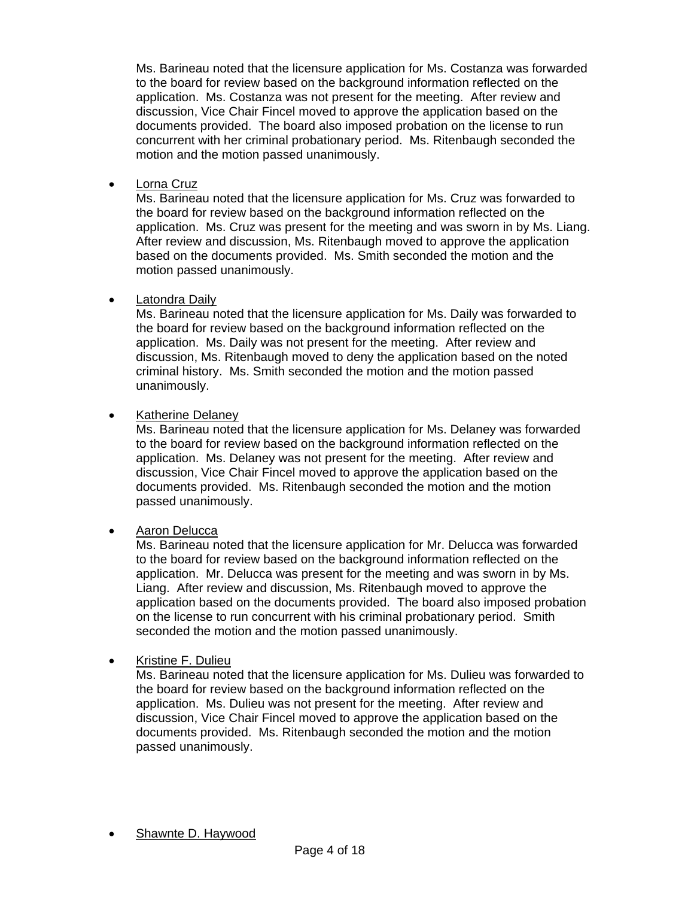Ms. Barineau noted that the licensure application for Ms. Costanza was forwarded to the board for review based on the background information reflected on the application. Ms. Costanza was not present for the meeting. After review and discussion, Vice Chair Fincel moved to approve the application based on the documents provided. The board also imposed probation on the license to run concurrent with her criminal probationary period. Ms. Ritenbaugh seconded the motion and the motion passed unanimously.

• Lorna Cruz

Ms. Barineau noted that the licensure application for Ms. Cruz was forwarded to the board for review based on the background information reflected on the application. Ms. Cruz was present for the meeting and was sworn in by Ms. Liang. After review and discussion, Ms. Ritenbaugh moved to approve the application based on the documents provided. Ms. Smith seconded the motion and the motion passed unanimously.

# • Latondra Daily

Ms. Barineau noted that the licensure application for Ms. Daily was forwarded to the board for review based on the background information reflected on the application. Ms. Daily was not present for the meeting. After review and discussion, Ms. Ritenbaugh moved to deny the application based on the noted criminal history. Ms. Smith seconded the motion and the motion passed unanimously.

# • Katherine Delaney

Ms. Barineau noted that the licensure application for Ms. Delaney was forwarded to the board for review based on the background information reflected on the application. Ms. Delaney was not present for the meeting. After review and discussion, Vice Chair Fincel moved to approve the application based on the documents provided. Ms. Ritenbaugh seconded the motion and the motion passed unanimously.

# • Aaron Delucca

Ms. Barineau noted that the licensure application for Mr. Delucca was forwarded to the board for review based on the background information reflected on the application. Mr. Delucca was present for the meeting and was sworn in by Ms. Liang. After review and discussion, Ms. Ritenbaugh moved to approve the application based on the documents provided. The board also imposed probation on the license to run concurrent with his criminal probationary period. Smith seconded the motion and the motion passed unanimously.

# • Kristine F. Dulieu

Ms. Barineau noted that the licensure application for Ms. Dulieu was forwarded to the board for review based on the background information reflected on the application. Ms. Dulieu was not present for the meeting. After review and discussion, Vice Chair Fincel moved to approve the application based on the documents provided. Ms. Ritenbaugh seconded the motion and the motion passed unanimously.

• Shawnte D. Haywood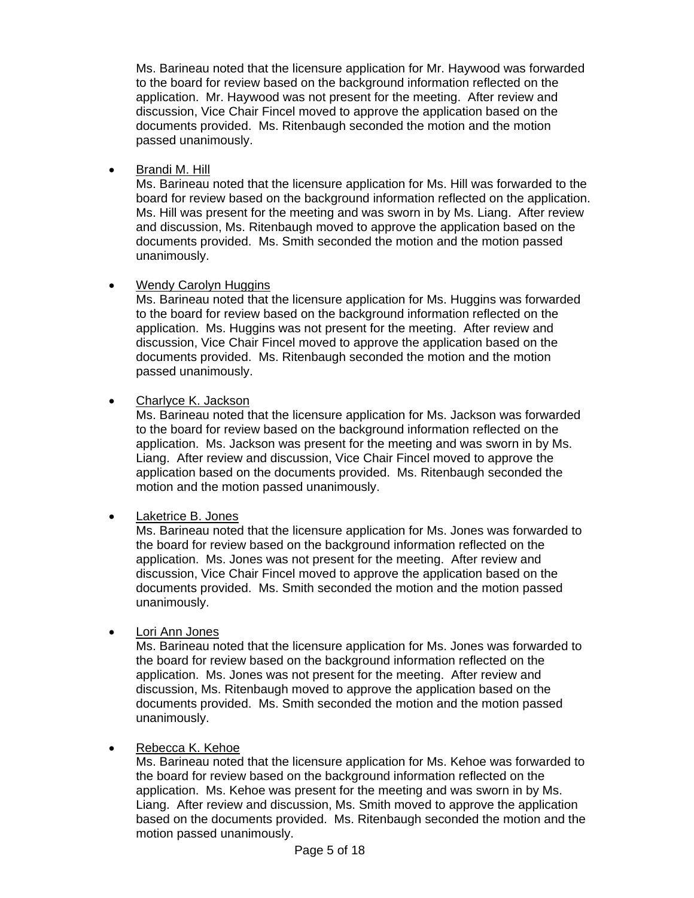Ms. Barineau noted that the licensure application for Mr. Haywood was forwarded to the board for review based on the background information reflected on the application. Mr. Haywood was not present for the meeting. After review and discussion, Vice Chair Fincel moved to approve the application based on the documents provided. Ms. Ritenbaugh seconded the motion and the motion passed unanimously.

• Brandi M. Hill

Ms. Barineau noted that the licensure application for Ms. Hill was forwarded to the board for review based on the background information reflected on the application. Ms. Hill was present for the meeting and was sworn in by Ms. Liang. After review and discussion, Ms. Ritenbaugh moved to approve the application based on the documents provided. Ms. Smith seconded the motion and the motion passed unanimously.

# • Wendy Carolyn Huggins

Ms. Barineau noted that the licensure application for Ms. Huggins was forwarded to the board for review based on the background information reflected on the application. Ms. Huggins was not present for the meeting. After review and discussion, Vice Chair Fincel moved to approve the application based on the documents provided. Ms. Ritenbaugh seconded the motion and the motion passed unanimously.

• Charlyce K. Jackson

Ms. Barineau noted that the licensure application for Ms. Jackson was forwarded to the board for review based on the background information reflected on the application. Ms. Jackson was present for the meeting and was sworn in by Ms. Liang. After review and discussion, Vice Chair Fincel moved to approve the application based on the documents provided. Ms. Ritenbaugh seconded the motion and the motion passed unanimously.

• Laketrice B. Jones

Ms. Barineau noted that the licensure application for Ms. Jones was forwarded to the board for review based on the background information reflected on the application. Ms. Jones was not present for the meeting. After review and discussion, Vice Chair Fincel moved to approve the application based on the documents provided. Ms. Smith seconded the motion and the motion passed unanimously.

• Lori Ann Jones

Ms. Barineau noted that the licensure application for Ms. Jones was forwarded to the board for review based on the background information reflected on the application. Ms. Jones was not present for the meeting. After review and discussion, Ms. Ritenbaugh moved to approve the application based on the documents provided. Ms. Smith seconded the motion and the motion passed unanimously.

# • Rebecca K. Kehoe

Ms. Barineau noted that the licensure application for Ms. Kehoe was forwarded to the board for review based on the background information reflected on the application. Ms. Kehoe was present for the meeting and was sworn in by Ms. Liang. After review and discussion, Ms. Smith moved to approve the application based on the documents provided. Ms. Ritenbaugh seconded the motion and the motion passed unanimously.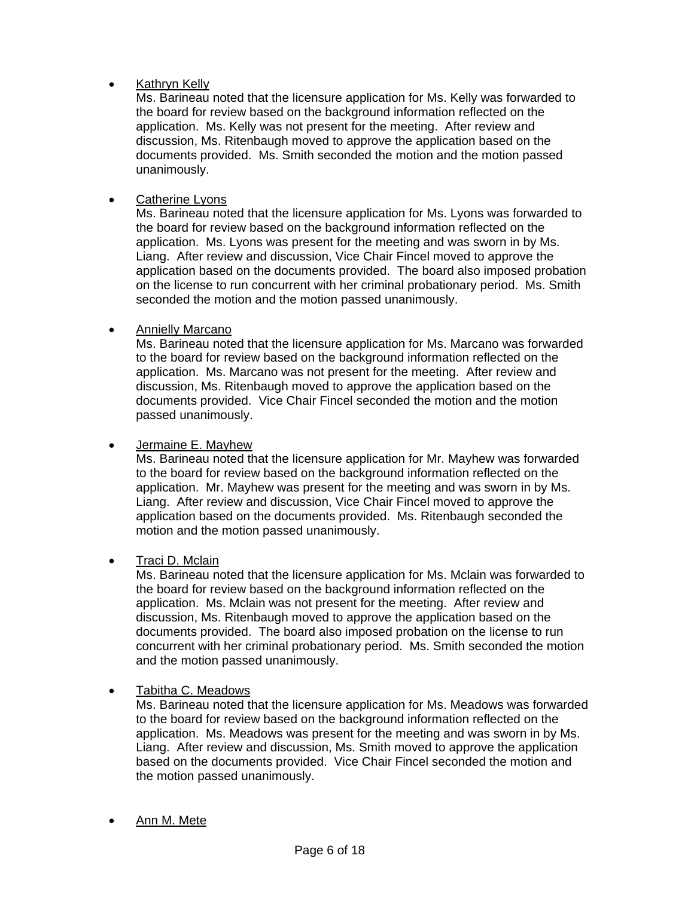# • Kathryn Kelly

Ms. Barineau noted that the licensure application for Ms. Kelly was forwarded to the board for review based on the background information reflected on the application. Ms. Kelly was not present for the meeting. After review and discussion, Ms. Ritenbaugh moved to approve the application based on the documents provided. Ms. Smith seconded the motion and the motion passed unanimously.

# • Catherine Lyons

Ms. Barineau noted that the licensure application for Ms. Lyons was forwarded to the board for review based on the background information reflected on the application. Ms. Lyons was present for the meeting and was sworn in by Ms. Liang. After review and discussion, Vice Chair Fincel moved to approve the application based on the documents provided. The board also imposed probation on the license to run concurrent with her criminal probationary period. Ms. Smith seconded the motion and the motion passed unanimously.

# • Annielly Marcano

Ms. Barineau noted that the licensure application for Ms. Marcano was forwarded to the board for review based on the background information reflected on the application. Ms. Marcano was not present for the meeting. After review and discussion, Ms. Ritenbaugh moved to approve the application based on the documents provided. Vice Chair Fincel seconded the motion and the motion passed unanimously.

• Jermaine E. Mayhew

Ms. Barineau noted that the licensure application for Mr. Mayhew was forwarded to the board for review based on the background information reflected on the application. Mr. Mayhew was present for the meeting and was sworn in by Ms. Liang. After review and discussion, Vice Chair Fincel moved to approve the application based on the documents provided. Ms. Ritenbaugh seconded the motion and the motion passed unanimously.

# • Traci D. Mclain

Ms. Barineau noted that the licensure application for Ms. Mclain was forwarded to the board for review based on the background information reflected on the application. Ms. Mclain was not present for the meeting. After review and discussion, Ms. Ritenbaugh moved to approve the application based on the documents provided. The board also imposed probation on the license to run concurrent with her criminal probationary period. Ms. Smith seconded the motion and the motion passed unanimously.

# • Tabitha C. Meadows

Ms. Barineau noted that the licensure application for Ms. Meadows was forwarded to the board for review based on the background information reflected on the application. Ms. Meadows was present for the meeting and was sworn in by Ms. Liang. After review and discussion, Ms. Smith moved to approve the application based on the documents provided. Vice Chair Fincel seconded the motion and the motion passed unanimously.

• Ann M. Mete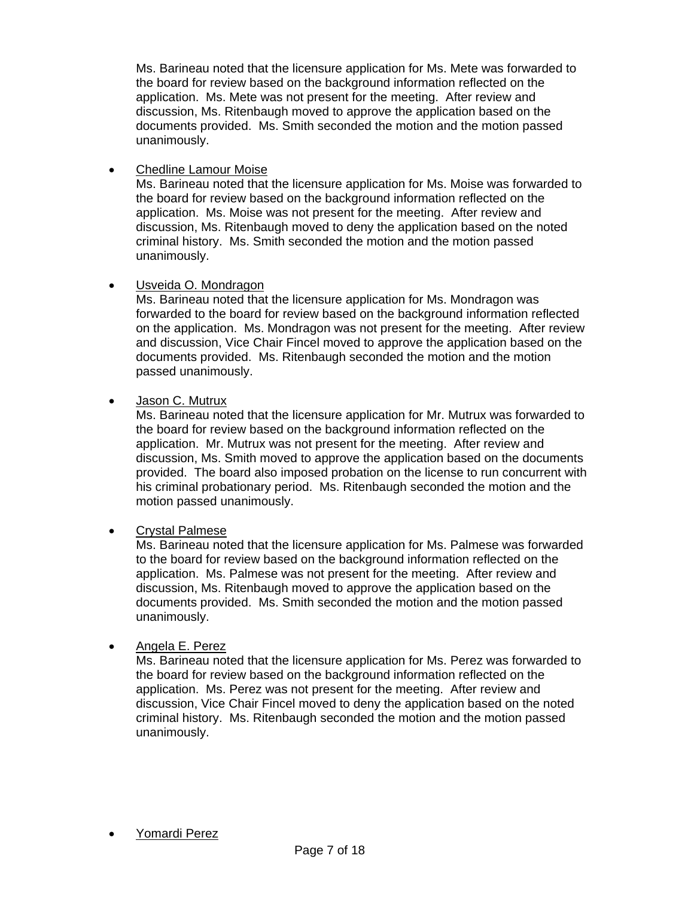Ms. Barineau noted that the licensure application for Ms. Mete was forwarded to the board for review based on the background information reflected on the application. Ms. Mete was not present for the meeting. After review and discussion, Ms. Ritenbaugh moved to approve the application based on the documents provided. Ms. Smith seconded the motion and the motion passed unanimously.

• Chedline Lamour Moise

Ms. Barineau noted that the licensure application for Ms. Moise was forwarded to the board for review based on the background information reflected on the application. Ms. Moise was not present for the meeting. After review and discussion, Ms. Ritenbaugh moved to deny the application based on the noted criminal history. Ms. Smith seconded the motion and the motion passed unanimously.

# • Usveida O. Mondragon

Ms. Barineau noted that the licensure application for Ms. Mondragon was forwarded to the board for review based on the background information reflected on the application. Ms. Mondragon was not present for the meeting. After review and discussion, Vice Chair Fincel moved to approve the application based on the documents provided. Ms. Ritenbaugh seconded the motion and the motion passed unanimously.

# • Jason C. Mutrux

Ms. Barineau noted that the licensure application for Mr. Mutrux was forwarded to the board for review based on the background information reflected on the application. Mr. Mutrux was not present for the meeting. After review and discussion, Ms. Smith moved to approve the application based on the documents provided. The board also imposed probation on the license to run concurrent with his criminal probationary period. Ms. Ritenbaugh seconded the motion and the motion passed unanimously.

# • Crystal Palmese

Ms. Barineau noted that the licensure application for Ms. Palmese was forwarded to the board for review based on the background information reflected on the application. Ms. Palmese was not present for the meeting. After review and discussion, Ms. Ritenbaugh moved to approve the application based on the documents provided. Ms. Smith seconded the motion and the motion passed unanimously.

# • Angela E. Perez

Ms. Barineau noted that the licensure application for Ms. Perez was forwarded to the board for review based on the background information reflected on the application. Ms. Perez was not present for the meeting. After review and discussion, Vice Chair Fincel moved to deny the application based on the noted criminal history. Ms. Ritenbaugh seconded the motion and the motion passed unanimously.

## • Yomardi Perez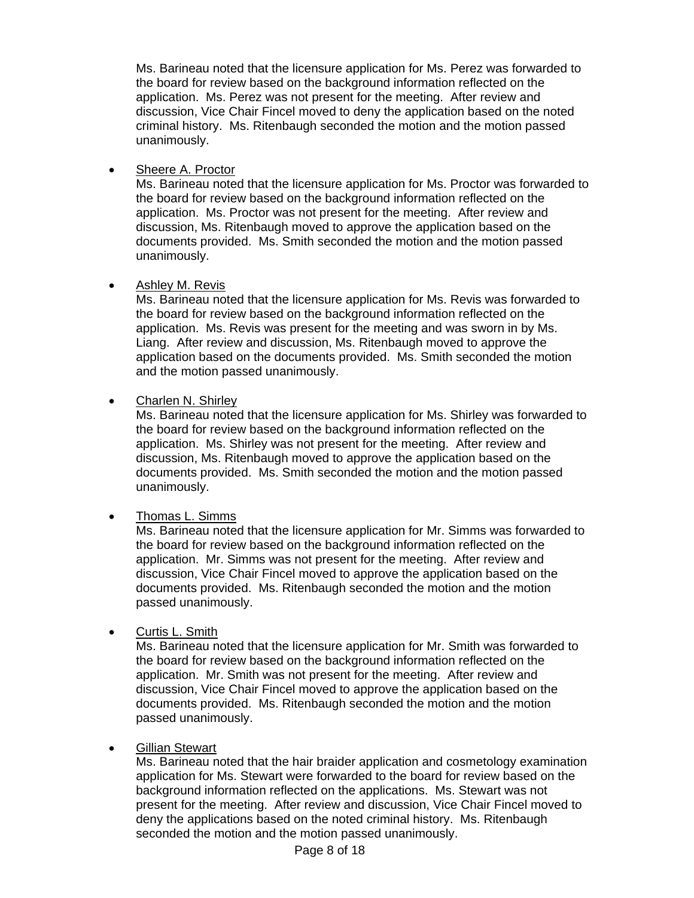Ms. Barineau noted that the licensure application for Ms. Perez was forwarded to the board for review based on the background information reflected on the application. Ms. Perez was not present for the meeting. After review and discussion, Vice Chair Fincel moved to deny the application based on the noted criminal history. Ms. Ritenbaugh seconded the motion and the motion passed unanimously.

Sheere A. Proctor

Ms. Barineau noted that the licensure application for Ms. Proctor was forwarded to the board for review based on the background information reflected on the application. Ms. Proctor was not present for the meeting. After review and discussion, Ms. Ritenbaugh moved to approve the application based on the documents provided. Ms. Smith seconded the motion and the motion passed unanimously.

# • Ashley M. Revis

Ms. Barineau noted that the licensure application for Ms. Revis was forwarded to the board for review based on the background information reflected on the application. Ms. Revis was present for the meeting and was sworn in by Ms. Liang. After review and discussion, Ms. Ritenbaugh moved to approve the application based on the documents provided. Ms. Smith seconded the motion and the motion passed unanimously.

# • Charlen N. Shirley

Ms. Barineau noted that the licensure application for Ms. Shirley was forwarded to the board for review based on the background information reflected on the application. Ms. Shirley was not present for the meeting. After review and discussion, Ms. Ritenbaugh moved to approve the application based on the documents provided. Ms. Smith seconded the motion and the motion passed unanimously.

# • Thomas L. Simms

Ms. Barineau noted that the licensure application for Mr. Simms was forwarded to the board for review based on the background information reflected on the application. Mr. Simms was not present for the meeting. After review and discussion, Vice Chair Fincel moved to approve the application based on the documents provided. Ms. Ritenbaugh seconded the motion and the motion passed unanimously.

# • Curtis L. Smith

Ms. Barineau noted that the licensure application for Mr. Smith was forwarded to the board for review based on the background information reflected on the application. Mr. Smith was not present for the meeting. After review and discussion, Vice Chair Fincel moved to approve the application based on the documents provided. Ms. Ritenbaugh seconded the motion and the motion passed unanimously.

# Gillian Stewart

Ms. Barineau noted that the hair braider application and cosmetology examination application for Ms. Stewart were forwarded to the board for review based on the background information reflected on the applications. Ms. Stewart was not present for the meeting. After review and discussion, Vice Chair Fincel moved to deny the applications based on the noted criminal history. Ms. Ritenbaugh seconded the motion and the motion passed unanimously.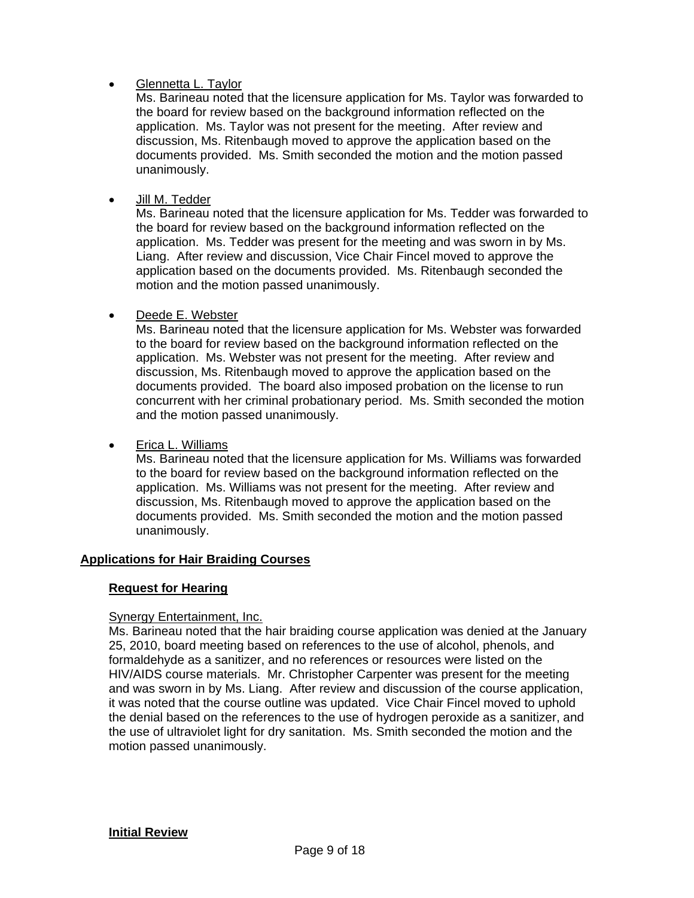# • Glennetta L. Taylor

Ms. Barineau noted that the licensure application for Ms. Taylor was forwarded to the board for review based on the background information reflected on the application. Ms. Taylor was not present for the meeting. After review and discussion, Ms. Ritenbaugh moved to approve the application based on the documents provided. Ms. Smith seconded the motion and the motion passed unanimously.

• Jill M. Tedder

Ms. Barineau noted that the licensure application for Ms. Tedder was forwarded to the board for review based on the background information reflected on the application. Ms. Tedder was present for the meeting and was sworn in by Ms. Liang. After review and discussion, Vice Chair Fincel moved to approve the application based on the documents provided. Ms. Ritenbaugh seconded the motion and the motion passed unanimously.

# Deede E. Webster

Ms. Barineau noted that the licensure application for Ms. Webster was forwarded to the board for review based on the background information reflected on the application. Ms. Webster was not present for the meeting. After review and discussion, Ms. Ritenbaugh moved to approve the application based on the documents provided. The board also imposed probation on the license to run concurrent with her criminal probationary period. Ms. Smith seconded the motion and the motion passed unanimously.

# • Erica L. Williams

Ms. Barineau noted that the licensure application for Ms. Williams was forwarded to the board for review based on the background information reflected on the application. Ms. Williams was not present for the meeting. After review and discussion, Ms. Ritenbaugh moved to approve the application based on the documents provided. Ms. Smith seconded the motion and the motion passed unanimously.

# **Applications for Hair Braiding Courses**

# **Request for Hearing**

# **Synergy Entertainment, Inc.**

Ms. Barineau noted that the hair braiding course application was denied at the January 25, 2010, board meeting based on references to the use of alcohol, phenols, and formaldehyde as a sanitizer, and no references or resources were listed on the HIV/AIDS course materials. Mr. Christopher Carpenter was present for the meeting and was sworn in by Ms. Liang. After review and discussion of the course application, it was noted that the course outline was updated. Vice Chair Fincel moved to uphold the denial based on the references to the use of hydrogen peroxide as a sanitizer, and the use of ultraviolet light for dry sanitation. Ms. Smith seconded the motion and the motion passed unanimously.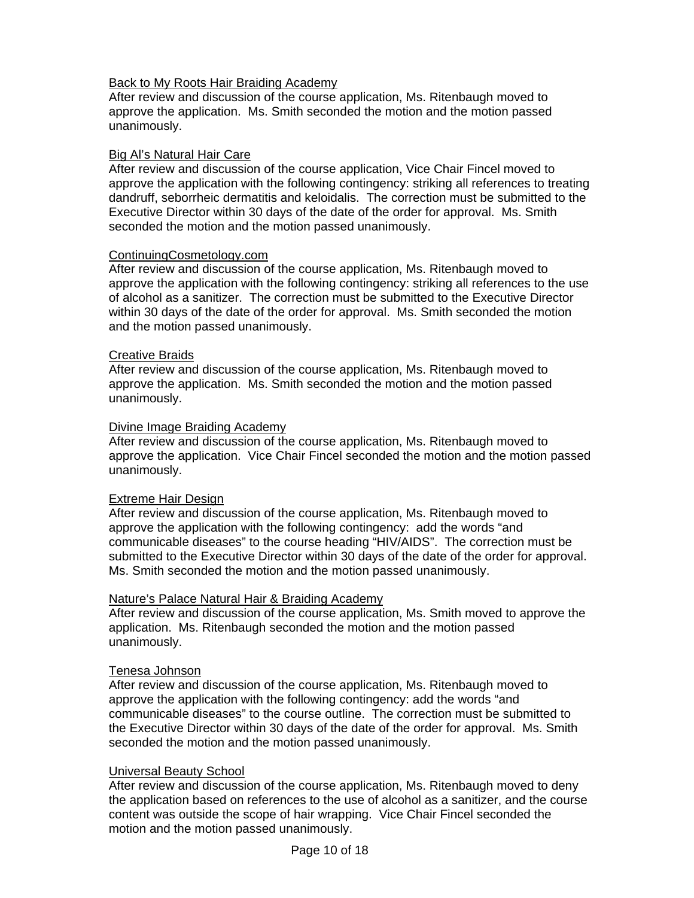# Back to My Roots Hair Braiding Academy

After review and discussion of the course application, Ms. Ritenbaugh moved to approve the application. Ms. Smith seconded the motion and the motion passed unanimously.

# Big Al's Natural Hair Care

After review and discussion of the course application, Vice Chair Fincel moved to approve the application with the following contingency: striking all references to treating dandruff, seborrheic dermatitis and keloidalis. The correction must be submitted to the Executive Director within 30 days of the date of the order for approval. Ms. Smith seconded the motion and the motion passed unanimously.

## ContinuingCosmetology.com

After review and discussion of the course application, Ms. Ritenbaugh moved to approve the application with the following contingency: striking all references to the use of alcohol as a sanitizer. The correction must be submitted to the Executive Director within 30 days of the date of the order for approval. Ms. Smith seconded the motion and the motion passed unanimously.

# Creative Braids

After review and discussion of the course application, Ms. Ritenbaugh moved to approve the application. Ms. Smith seconded the motion and the motion passed unanimously.

# Divine Image Braiding Academy

After review and discussion of the course application, Ms. Ritenbaugh moved to approve the application. Vice Chair Fincel seconded the motion and the motion passed unanimously.

## Extreme Hair Design

After review and discussion of the course application, Ms. Ritenbaugh moved to approve the application with the following contingency: add the words "and communicable diseases" to the course heading "HIV/AIDS". The correction must be submitted to the Executive Director within 30 days of the date of the order for approval. Ms. Smith seconded the motion and the motion passed unanimously.

## Nature's Palace Natural Hair & Braiding Academy

After review and discussion of the course application, Ms. Smith moved to approve the application. Ms. Ritenbaugh seconded the motion and the motion passed unanimously.

## Tenesa Johnson

After review and discussion of the course application, Ms. Ritenbaugh moved to approve the application with the following contingency: add the words "and communicable diseases" to the course outline. The correction must be submitted to the Executive Director within 30 days of the date of the order for approval. Ms. Smith seconded the motion and the motion passed unanimously.

## Universal Beauty School

After review and discussion of the course application, Ms. Ritenbaugh moved to deny the application based on references to the use of alcohol as a sanitizer, and the course content was outside the scope of hair wrapping. Vice Chair Fincel seconded the motion and the motion passed unanimously.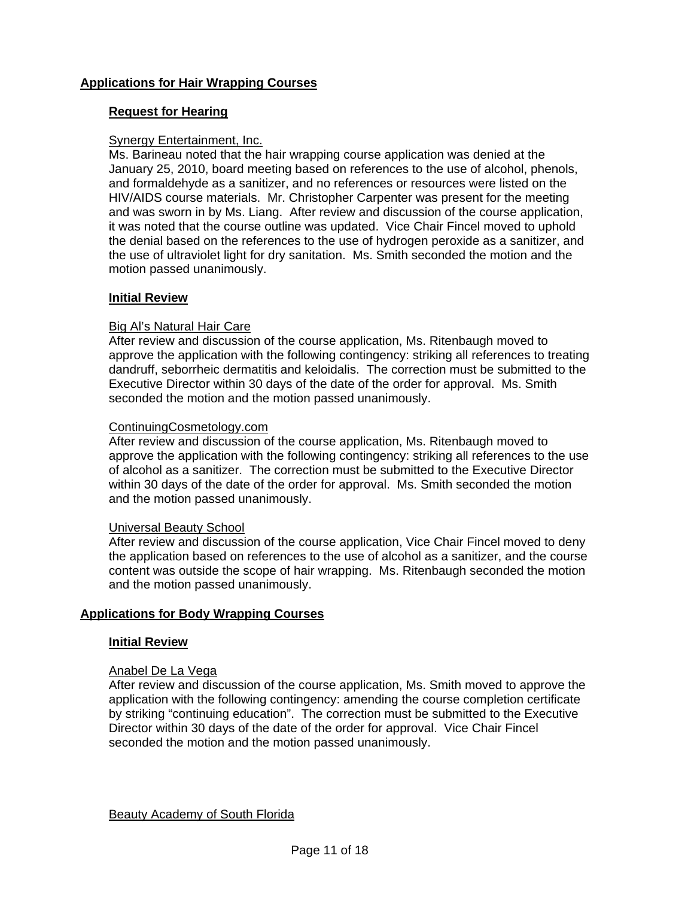# **Applications for Hair Wrapping Courses**

# **Request for Hearing**

# Synergy Entertainment, Inc.

Ms. Barineau noted that the hair wrapping course application was denied at the January 25, 2010, board meeting based on references to the use of alcohol, phenols, and formaldehyde as a sanitizer, and no references or resources were listed on the HIV/AIDS course materials. Mr. Christopher Carpenter was present for the meeting and was sworn in by Ms. Liang. After review and discussion of the course application, it was noted that the course outline was updated. Vice Chair Fincel moved to uphold the denial based on the references to the use of hydrogen peroxide as a sanitizer, and the use of ultraviolet light for dry sanitation. Ms. Smith seconded the motion and the motion passed unanimously.

# **Initial Review**

# Big Al's Natural Hair Care

After review and discussion of the course application, Ms. Ritenbaugh moved to approve the application with the following contingency: striking all references to treating dandruff, seborrheic dermatitis and keloidalis. The correction must be submitted to the Executive Director within 30 days of the date of the order for approval. Ms. Smith seconded the motion and the motion passed unanimously.

# ContinuingCosmetology.com

After review and discussion of the course application, Ms. Ritenbaugh moved to approve the application with the following contingency: striking all references to the use of alcohol as a sanitizer. The correction must be submitted to the Executive Director within 30 days of the date of the order for approval. Ms. Smith seconded the motion and the motion passed unanimously.

## Universal Beauty School

After review and discussion of the course application, Vice Chair Fincel moved to deny the application based on references to the use of alcohol as a sanitizer, and the course content was outside the scope of hair wrapping. Ms. Ritenbaugh seconded the motion and the motion passed unanimously.

# **Applications for Body Wrapping Courses**

# **Initial Review**

## Anabel De La Vega

After review and discussion of the course application, Ms. Smith moved to approve the application with the following contingency: amending the course completion certificate by striking "continuing education". The correction must be submitted to the Executive Director within 30 days of the date of the order for approval. Vice Chair Fincel seconded the motion and the motion passed unanimously.

Beauty Academy of South Florida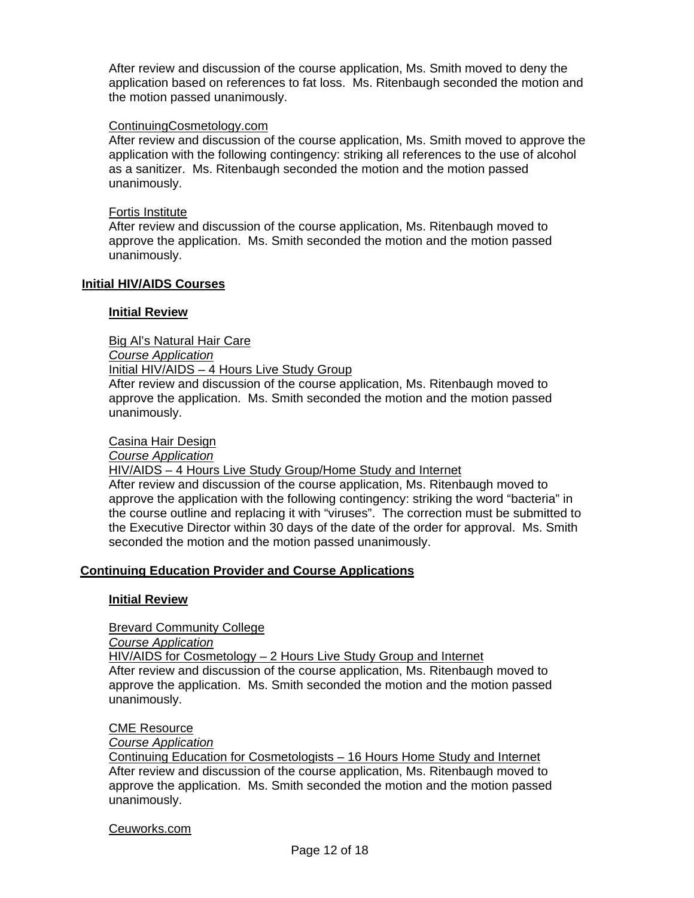After review and discussion of the course application, Ms. Smith moved to deny the application based on references to fat loss. Ms. Ritenbaugh seconded the motion and the motion passed unanimously.

### ContinuingCosmetology.com

After review and discussion of the course application, Ms. Smith moved to approve the application with the following contingency: striking all references to the use of alcohol as a sanitizer. Ms. Ritenbaugh seconded the motion and the motion passed unanimously.

#### Fortis Institute

After review and discussion of the course application, Ms. Ritenbaugh moved to approve the application. Ms. Smith seconded the motion and the motion passed unanimously.

#### **Initial HIV/AIDS Courses**

#### **Initial Review**

Big Al's Natural Hair Care

*Course Application*

Initial HIV/AIDS – 4 Hours Live Study Group

After review and discussion of the course application, Ms. Ritenbaugh moved to approve the application. Ms. Smith seconded the motion and the motion passed unanimously.

#### Casina Hair Design

*Course Application*

HIV/AIDS – 4 Hours Live Study Group/Home Study and Internet

After review and discussion of the course application, Ms. Ritenbaugh moved to approve the application with the following contingency: striking the word "bacteria" in the course outline and replacing it with "viruses". The correction must be submitted to the Executive Director within 30 days of the date of the order for approval. Ms. Smith seconded the motion and the motion passed unanimously.

## **Continuing Education Provider and Course Applications**

#### **Initial Review**

Brevard Community College

*Course Application*

 HIV/AIDS for Cosmetology – 2 Hours Live Study Group and Internet After review and discussion of the course application, Ms. Ritenbaugh moved to approve the application. Ms. Smith seconded the motion and the motion passed unanimously.

#### CME Resource

*Course Application*

Continuing Education for Cosmetologists – 16 Hours Home Study and Internet After review and discussion of the course application, Ms. Ritenbaugh moved to approve the application. Ms. Smith seconded the motion and the motion passed unanimously.

#### Ceuworks.com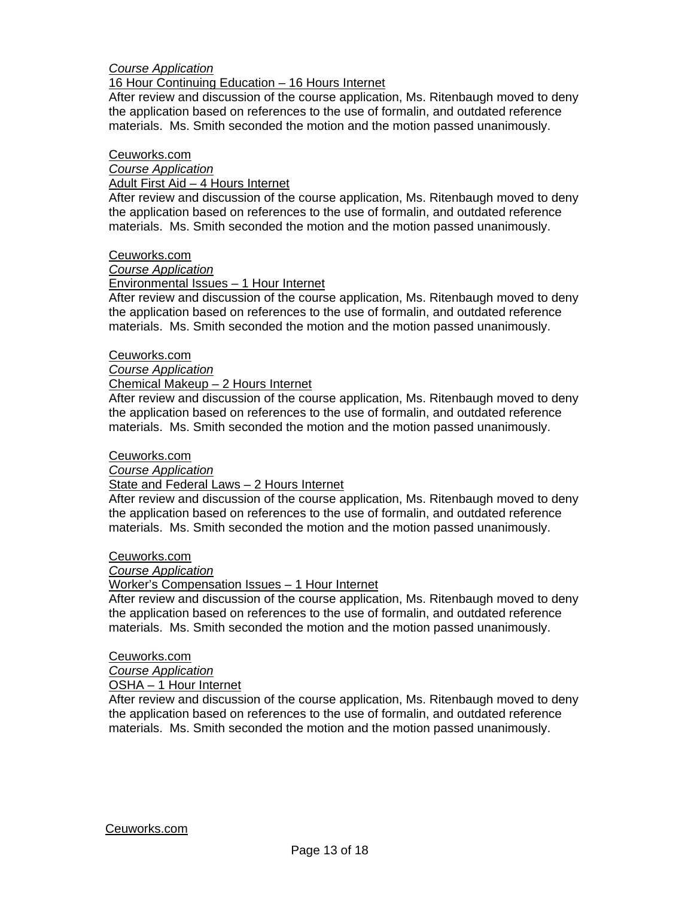# *Course Application*

### 16 Hour Continuing Education – 16 Hours Internet

After review and discussion of the course application, Ms. Ritenbaugh moved to deny the application based on references to the use of formalin, and outdated reference materials. Ms. Smith seconded the motion and the motion passed unanimously.

### Ceuworks.com

*Course Application*

Adult First Aid – 4 Hours Internet

After review and discussion of the course application, Ms. Ritenbaugh moved to deny the application based on references to the use of formalin, and outdated reference materials. Ms. Smith seconded the motion and the motion passed unanimously.

#### Ceuworks.com

## *Course Application*

## Environmental Issues – 1 Hour Internet

After review and discussion of the course application, Ms. Ritenbaugh moved to deny the application based on references to the use of formalin, and outdated reference materials. Ms. Smith seconded the motion and the motion passed unanimously.

#### Ceuworks.com

*Course Application*

#### Chemical Makeup – 2 Hours Internet

After review and discussion of the course application, Ms. Ritenbaugh moved to deny the application based on references to the use of formalin, and outdated reference materials. Ms. Smith seconded the motion and the motion passed unanimously.

#### Ceuworks.com

*Course Application*

## State and Federal Laws - 2 Hours Internet

After review and discussion of the course application, Ms. Ritenbaugh moved to deny the application based on references to the use of formalin, and outdated reference materials. Ms. Smith seconded the motion and the motion passed unanimously.

Ceuworks.com

# *Course Application*

## Worker's Compensation Issues – 1 Hour Internet

After review and discussion of the course application, Ms. Ritenbaugh moved to deny the application based on references to the use of formalin, and outdated reference materials. Ms. Smith seconded the motion and the motion passed unanimously.

## Ceuworks.com

# *Course Application*

OSHA – 1 Hour Internet

After review and discussion of the course application, Ms. Ritenbaugh moved to deny the application based on references to the use of formalin, and outdated reference materials. Ms. Smith seconded the motion and the motion passed unanimously.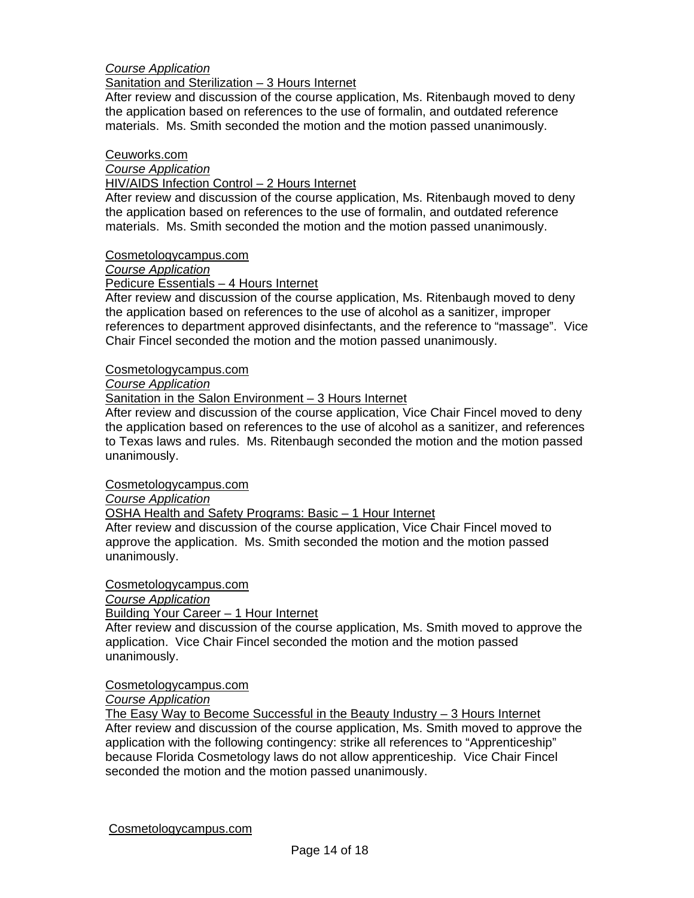# *Course Application*

Sanitation and Sterilization – 3 Hours Internet

After review and discussion of the course application, Ms. Ritenbaugh moved to deny the application based on references to the use of formalin, and outdated reference materials. Ms. Smith seconded the motion and the motion passed unanimously.

#### Ceuworks.com

*Course Application*

### HIV/AIDS Infection Control – 2 Hours Internet

 After review and discussion of the course application, Ms. Ritenbaugh moved to deny the application based on references to the use of formalin, and outdated reference materials. Ms. Smith seconded the motion and the motion passed unanimously.

#### Cosmetologycampus.com

*Course Application*

## Pedicure Essentials – 4 Hours Internet

 After review and discussion of the course application, Ms. Ritenbaugh moved to deny the application based on references to the use of alcohol as a sanitizer, improper references to department approved disinfectants, and the reference to "massage". Vice Chair Fincel seconded the motion and the motion passed unanimously.

#### Cosmetologycampus.com

*Course Application*

# Sanitation in the Salon Environment – 3 Hours Internet

After review and discussion of the course application, Vice Chair Fincel moved to deny the application based on references to the use of alcohol as a sanitizer, and references to Texas laws and rules. Ms. Ritenbaugh seconded the motion and the motion passed unanimously.

#### Cosmetologycampus.com

*Course Application*

OSHA Health and Safety Programs: Basic – 1 Hour Internet

 After review and discussion of the course application, Vice Chair Fincel moved to approve the application. Ms. Smith seconded the motion and the motion passed unanimously.

Cosmetologycampus.com

*Course Application*

# Building Your Career – 1 Hour Internet

 After review and discussion of the course application, Ms. Smith moved to approve the application. Vice Chair Fincel seconded the motion and the motion passed unanimously.

Cosmetologycampus.com

*Course Application*

The Easy Way to Become Successful in the Beauty Industry  $-3$  Hours Internet After review and discussion of the course application, Ms. Smith moved to approve the application with the following contingency: strike all references to "Apprenticeship" because Florida Cosmetology laws do not allow apprenticeship. Vice Chair Fincel seconded the motion and the motion passed unanimously.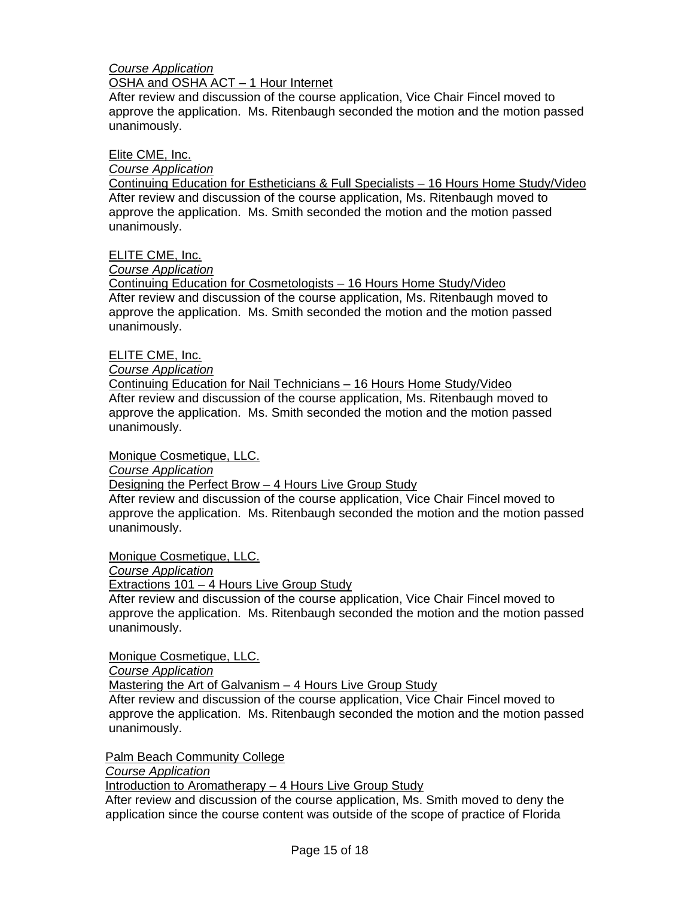# *Course Application*

# OSHA and OSHA ACT – 1 Hour Internet

 After review and discussion of the course application, Vice Chair Fincel moved to approve the application. Ms. Ritenbaugh seconded the motion and the motion passed unanimously.

## Elite CME, Inc.

*Course Application*

Continuing Education for Estheticians & Full Specialists – 16 Hours Home Study/Video After review and discussion of the course application, Ms. Ritenbaugh moved to approve the application. Ms. Smith seconded the motion and the motion passed unanimously.

ELITE CME, Inc.

# *Course Application*

Continuing Education for Cosmetologists – 16 Hours Home Study/Video After review and discussion of the course application, Ms. Ritenbaugh moved to approve the application. Ms. Smith seconded the motion and the motion passed unanimously.

# ELITE CME, Inc.

*Course Application*

Continuing Education for Nail Technicians – 16 Hours Home Study/Video After review and discussion of the course application, Ms. Ritenbaugh moved to approve the application. Ms. Smith seconded the motion and the motion passed unanimously.

Monique Cosmetique, LLC.

*Course Application*

Designing the Perfect Brow – 4 Hours Live Group Study

After review and discussion of the course application, Vice Chair Fincel moved to approve the application. Ms. Ritenbaugh seconded the motion and the motion passed unanimously.

Monique Cosmetique, LLC.

*Course Application*

Extractions 101 – 4 Hours Live Group Study

After review and discussion of the course application, Vice Chair Fincel moved to approve the application. Ms. Ritenbaugh seconded the motion and the motion passed unanimously.

Monique Cosmetique, LLC.

*Course Application*

Mastering the Art of Galvanism – 4 Hours Live Group Study

After review and discussion of the course application, Vice Chair Fincel moved to approve the application. Ms. Ritenbaugh seconded the motion and the motion passed unanimously.

Palm Beach Community College

*Course Application*

Introduction to Aromatherapy – 4 Hours Live Group Study

After review and discussion of the course application, Ms. Smith moved to deny the application since the course content was outside of the scope of practice of Florida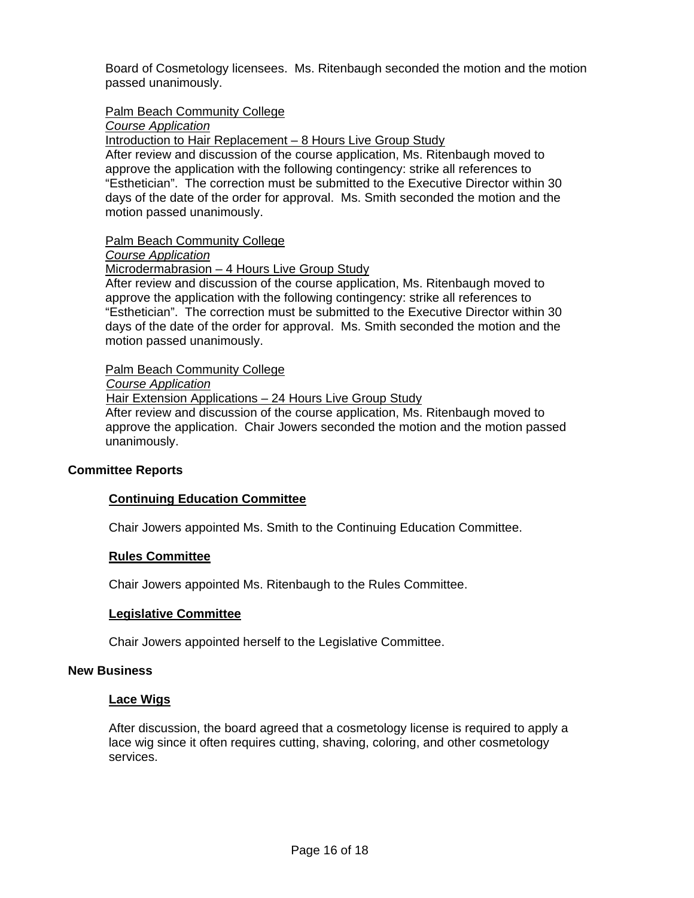Board of Cosmetology licensees. Ms. Ritenbaugh seconded the motion and the motion passed unanimously.

Palm Beach Community College

*Course Application*

Introduction to Hair Replacement – 8 Hours Live Group Study

 After review and discussion of the course application, Ms. Ritenbaugh moved to approve the application with the following contingency: strike all references to "Esthetician". The correction must be submitted to the Executive Director within 30 days of the date of the order for approval. Ms. Smith seconded the motion and the motion passed unanimously.

Palm Beach Community College

## *Course Application*

Microdermabrasion – 4 Hours Live Group Study

 After review and discussion of the course application, Ms. Ritenbaugh moved to approve the application with the following contingency: strike all references to "Esthetician". The correction must be submitted to the Executive Director within 30 days of the date of the order for approval. Ms. Smith seconded the motion and the motion passed unanimously.

Palm Beach Community College

 *Course Application*

Hair Extension Applications – 24 Hours Live Group Study

 After review and discussion of the course application, Ms. Ritenbaugh moved to approve the application. Chair Jowers seconded the motion and the motion passed unanimously.

# **Committee Reports**

# **Continuing Education Committee**

Chair Jowers appointed Ms. Smith to the Continuing Education Committee.

## **Rules Committee**

Chair Jowers appointed Ms. Ritenbaugh to the Rules Committee.

## **Legislative Committee**

Chair Jowers appointed herself to the Legislative Committee.

## **New Business**

## **Lace Wigs**

After discussion, the board agreed that a cosmetology license is required to apply a lace wig since it often requires cutting, shaving, coloring, and other cosmetology services.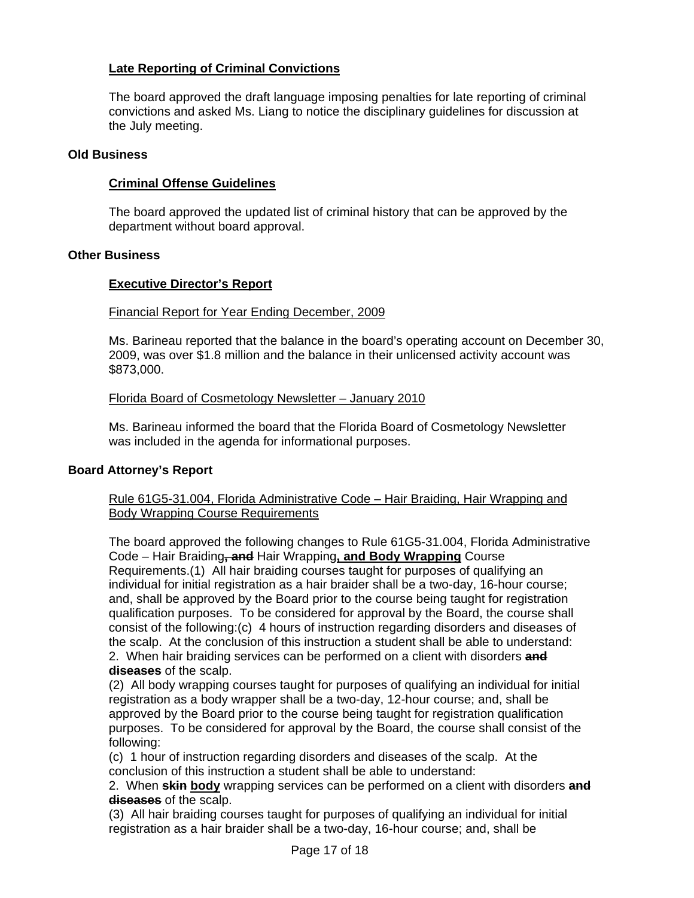# **Late Reporting of Criminal Convictions**

The board approved the draft language imposing penalties for late reporting of criminal convictions and asked Ms. Liang to notice the disciplinary guidelines for discussion at the July meeting.

## **Old Business**

# **Criminal Offense Guidelines**

The board approved the updated list of criminal history that can be approved by the department without board approval.

# **Other Business**

# **Executive Director's Report**

# Financial Report for Year Ending December, 2009

Ms. Barineau reported that the balance in the board's operating account on December 30, 2009, was over \$1.8 million and the balance in their unlicensed activity account was \$873,000.

# Florida Board of Cosmetology Newsletter – January 2010

Ms. Barineau informed the board that the Florida Board of Cosmetology Newsletter was included in the agenda for informational purposes.

## **Board Attorney's Report**

## Rule 61G5-31.004, Florida Administrative Code – Hair Braiding, Hair Wrapping and Body Wrapping Course Requirements

The board approved the following changes to Rule 61G5-31.004, Florida Administrative Code – Hair Braiding**, and** Hair Wrapping**, and Body Wrapping** Course Requirements.(1) All hair braiding courses taught for purposes of qualifying an individual for initial registration as a hair braider shall be a two-day, 16-hour course; and, shall be approved by the Board prior to the course being taught for registration qualification purposes. To be considered for approval by the Board, the course shall consist of the following:(c) 4 hours of instruction regarding disorders and diseases of the scalp. At the conclusion of this instruction a student shall be able to understand: 2. When hair braiding services can be performed on a client with disorders **and diseases** of the scalp.

(2) All body wrapping courses taught for purposes of qualifying an individual for initial registration as a body wrapper shall be a two-day, 12-hour course; and, shall be approved by the Board prior to the course being taught for registration qualification purposes. To be considered for approval by the Board, the course shall consist of the following:

(c) 1 hour of instruction regarding disorders and diseases of the scalp. At the conclusion of this instruction a student shall be able to understand:

2. When **skin body** wrapping services can be performed on a client with disorders **and diseases** of the scalp.

(3) All hair braiding courses taught for purposes of qualifying an individual for initial registration as a hair braider shall be a two-day, 16-hour course; and, shall be